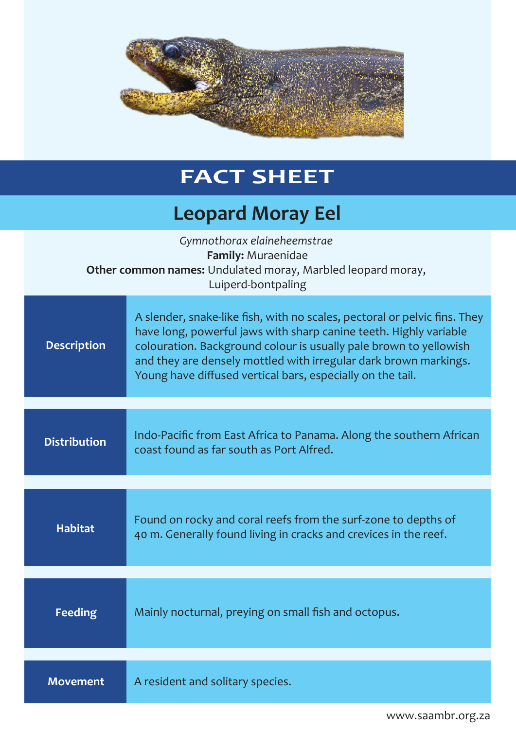

## **FACT SHEET**

## **Leopard Moray Eel**

| Gymnothorax elaineheemstrae<br>Family: Muraenidae<br>Other common names: Undulated moray, Marbled leopard moray,<br>Luiperd-bontpaling |                                                                                                                                                                                                                                                                                                                                                       |  |
|----------------------------------------------------------------------------------------------------------------------------------------|-------------------------------------------------------------------------------------------------------------------------------------------------------------------------------------------------------------------------------------------------------------------------------------------------------------------------------------------------------|--|
| <b>Description</b>                                                                                                                     | A slender, snake-like fish, with no scales, pectoral or pelvic fins. They<br>have long, powerful jaws with sharp canine teeth. Highly variable<br>colouration. Background colour is usually pale brown to yellowish<br>and they are densely mottled with irregular dark brown markings.<br>Young have diffused vertical bars, especially on the tail. |  |
|                                                                                                                                        |                                                                                                                                                                                                                                                                                                                                                       |  |
| <b>Distribution</b>                                                                                                                    | Indo-Pacific from East Africa to Panama. Along the southern African<br>coast found as far south as Port Alfred.                                                                                                                                                                                                                                       |  |
|                                                                                                                                        |                                                                                                                                                                                                                                                                                                                                                       |  |
| <b>Habitat</b>                                                                                                                         | Found on rocky and coral reefs from the surf-zone to depths of<br>40 m. Generally found living in cracks and crevices in the reef.                                                                                                                                                                                                                    |  |
| <b>Feeding</b>                                                                                                                         | Mainly nocturnal, preying on small fish and octopus.                                                                                                                                                                                                                                                                                                  |  |
|                                                                                                                                        |                                                                                                                                                                                                                                                                                                                                                       |  |
| <b>Movement</b>                                                                                                                        | A resident and solitary species.                                                                                                                                                                                                                                                                                                                      |  |

www.saambr.org.za